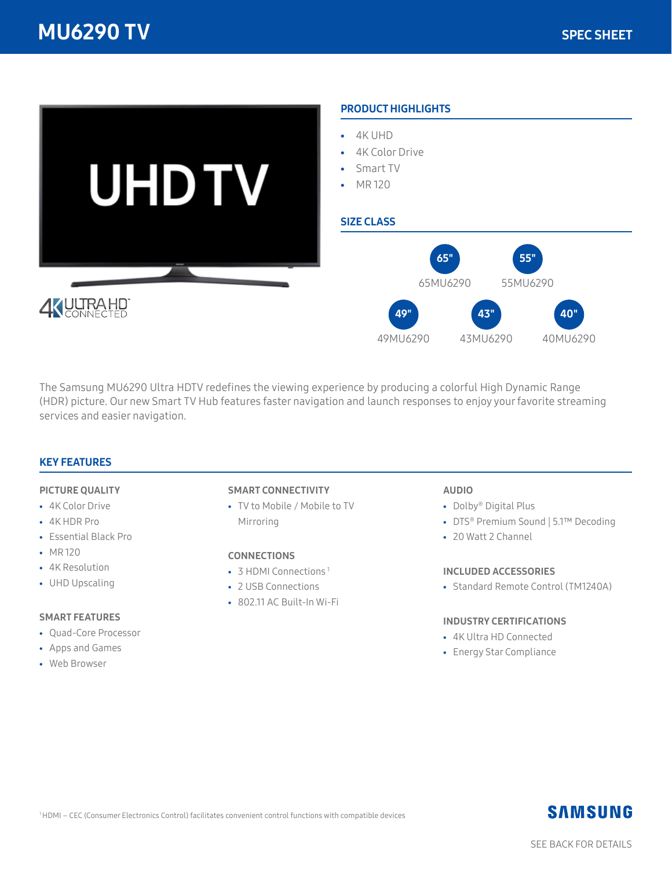

The Samsung MU6290 Ultra HDTV redefines the viewing experience by producing a colorful High Dynamic Range (HDR) picture. Our new Smart TV Hub features faster navigation and launch responses to enjoy your favorite streaming services and easier navigation.

### KEY FEATURES

#### PICTURE QUALITY

- 4K Color Drive
- 4K HDR Pro
- Essential Black Pro
- MR 120
- 4K Resolution
- UHD Upscaling

#### SMART FEATURES

- Quad-Core Processor
- Apps and Games
- Web Browser

#### SMART CONNECTIVITY

• TV to Mobile / Mobile to TV Mirroring

#### **CONNECTIONS**

- 3 HDMI Connections<sup>1</sup>
- 2 USB Connections
- 802.11 AC Built-In Wi-Fi

#### AUDIO

- Dolby® Digital Plus
- DTS® Premium Sound | 5.1™ Decoding
- 20 Watt 2 Channel

#### INCLUDED ACCESSORIES

• Standard Remote Control (TM1240A)

#### INDUSTRY CERTIFICATIONS

- 4K Ultra HD Connected
- Energy Star Compliance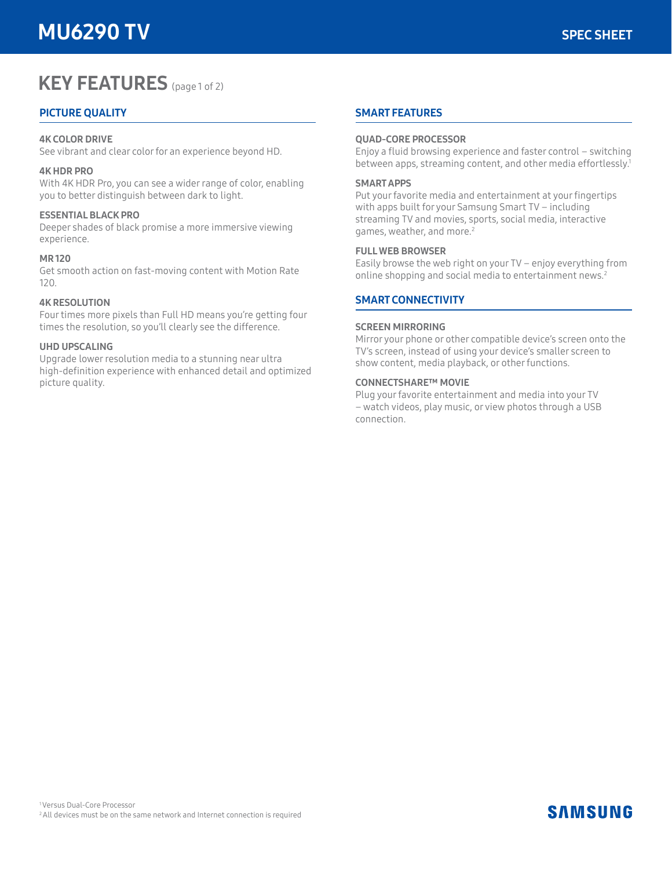# **KEY FEATURES** (page 1 of 2)

# PICTURE QUALITY

#### 4K COLOR DRIVE

See vibrant and clear color for an experience beyond HD.

#### 4K HDR PRO

With 4K HDR Pro, you can see a wider range of color, enabling you to better distinguish between dark to light.

#### ESSENTIAL BLACK PRO

Deeper shades of black promise a more immersive viewing experience.

#### MR 120

Get smooth action on fast-moving content with Motion Rate 120.

#### 4K RESOLUTION

Four times more pixels than Full HD means you're getting four times the resolution, so you'll clearly see the difference.

#### UHD UPSCALING

Upgrade lower resolution media to a stunning near ultra high-definition experience with enhanced detail and optimized picture quality.

#### SMART FEATURES

#### QUAD-CORE PROCESSOR

Enjoy a fluid browsing experience and faster control – switching between apps, streaming content, and other media effortlessly.<sup>1</sup>

#### SMART APPS

Put your favorite media and entertainment at your fingertips with apps built for your Samsung Smart TV – including streaming TV and movies, sports, social media, interactive games, weather, and more.<sup>2</sup>

#### FULL WEB BROWSER

Easily browse the web right on your TV – enjoy everything from online shopping and social media to entertainment news.<sup>2</sup>

#### SMART CONNECTIVITY

#### SCREEN MIRRORING

Mirror your phone or other compatible device's screen onto the TV's screen, instead of using your device's smaller screen to show content, media playback, or other functions.

#### CONNECTSHARE™ MOVIE

Plug your favorite entertainment and media into your TV – watch videos, play music, or view photos through a USB connection.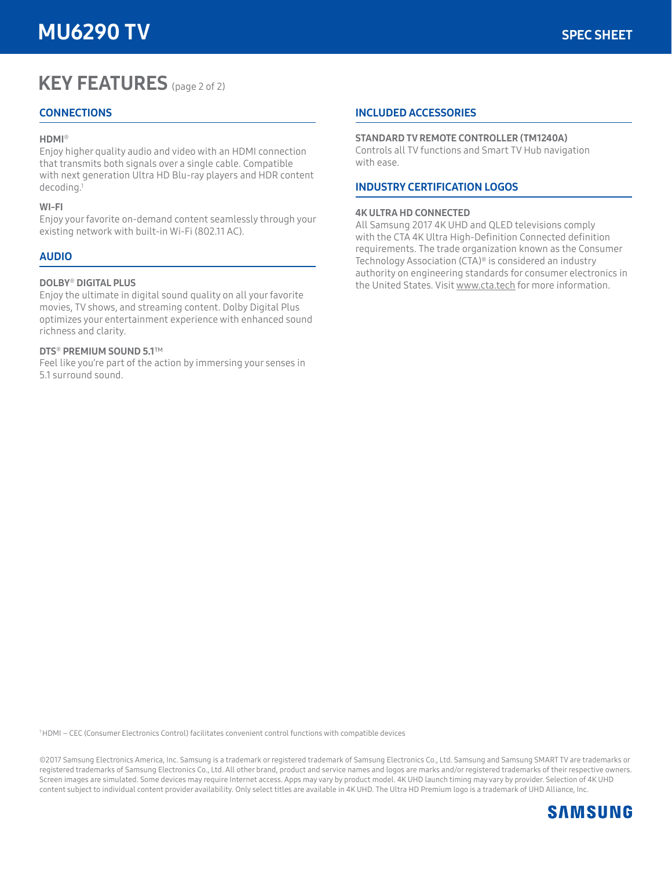# KEY FEATURES (page 2 of 2)

## **CONNECTIONS**

#### HDMI®

Enjoy higher quality audio and video with an HDMI connection that transmits both signals over a single cable. Compatible with next generation Ultra HD Blu-ray players and HDR content decoding.1

#### WI-FI

Enjoy your favorite on-demand content seamlessly through your existing network with built-in Wi-Fi (802.11 AC).

## AUDIO

#### DOLBY® DIGITAL PLUS

Enjoy the ultimate in digital sound quality on all your favorite movies, TV shows, and streaming content. Dolby Digital Plus optimizes your entertainment experience with enhanced sound richness and clarity.

#### DTS® PREMIUM SOUND 5.1™

Feel like you're part of the action by immersing your senses in 5.1 surround sound.

#### INCLUDED ACCESSORIES

#### STANDARD TV REMOTE CONTROLLER (TM1240A)

Controls all TV functions and Smart TV Hub navigation with ease.

## INDUSTRY CERTIFICATION LOGOS

#### 4K ULTRA HD CONNECTED

All Samsung 2017 4K UHD and QLED televisions comply with the CTA 4K Ultra High-Definition Connected definition requirements. The trade organization known as the Consumer Technology Association (CTA)® is considered an industry authority on engineering standards for consumer electronics in the United States. Visit www.cta.tech for more information.

1 HDMI – CEC (Consumer Electronics Control) facilitates convenient control functions with compatible devices

©2017 Samsung Electronics America, Inc. Samsung is a trademark or registered trademark of Samsung Electronics Co., Ltd. Samsung and Samsung SMART TV are trademarks or registered trademarks of Samsung Electronics Co., Ltd. All other brand, product and service names and logos are marks and/or registered trademarks of their respective owners. Screen images are simulated. Some devices may require Internet access. Apps may vary by product model. 4K UHD launch timing may vary by provider. Selection of 4K UHD content subject to individual content provider availability. Only select titles are available in 4K UHD. The Ultra HD Premium logo is a trademark of UHD Alliance, Inc.

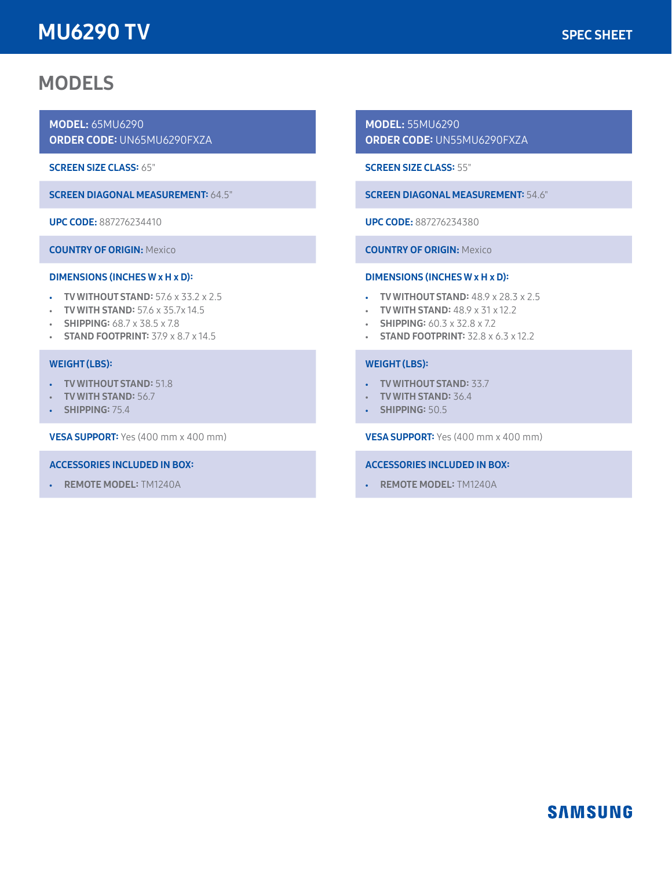# MU6290 TV

# MODELS

MODEL: 65MU6290 ORDER CODE: UN65MU6290FXZA

SCREEN SIZE CLASS: 65"

SCREEN DIAGONAL MEASUREMENT: 64.5"

UPC CODE: 887276234410

COUNTRY OF ORIGIN: Mexico

## DIMENSIONS (INCHES W x H x D):

- TV WITHOUT STAND: 57.6 x 33.2 x 2.5
- $\cdot$  TV WITH STAND: 57.6 x 35.7x 14.5
- SHIPPING: 68.7 x 38.5 x 7.8
- STAND FOOTPRINT: 37.9 x 8.7 x 14.5

#### WEIGHT (LBS):

- TV WITHOUT STAND: 51.8
- TV WITH STAND: 56.7
- SHIPPING: 75.4

VESA SUPPORT: Yes (400 mm x 400 mm)

#### ACCESSORIES INCLUDED IN BOX:

• REMOTE MODEL: TM1240A

MODEL: 55MU6290 ORDER CODE: UN55MU6290FXZA

SCREEN SIZE CLASS: 55"

SCREEN DIAGONAL MEASUREMENT: 54.6"

UPC CODE: 887276234380

COUNTRY OF ORIGIN: Mexico

#### DIMENSIONS (INCHES W x H x D):

- TV WITHOUT STAND: 48.9 x 28.3 x 2.5
- TV WITH STAND:  $48.9 \times 31 \times 12.2$
- SHIPPING:  $60.3 \times 32.8 \times 7.2$
- STAND FOOTPRINT:  $32.8 \times 6.3 \times 12.2$

#### WEIGHT (LBS):

- TV WITHOUT STAND: 33.7
- TV WITH STAND: 36.4
- SHIPPING: 50.5

VESA SUPPORT: Yes (400 mm x 400 mm)

#### ACCESSORIES INCLUDED IN BOX:

• REMOTE MODEL: TM1240A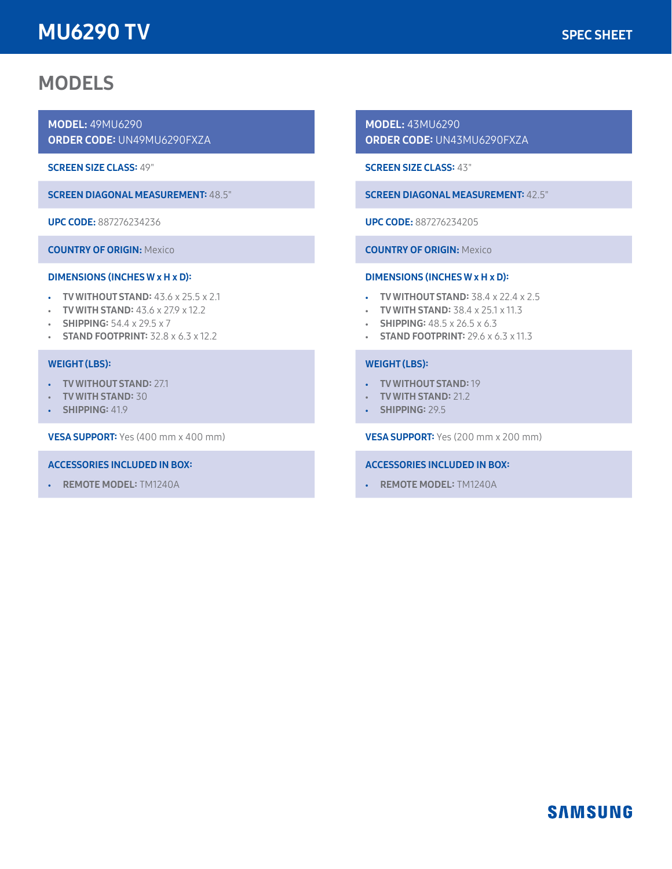# MU6290 TV

# MODELS

MODEL: 49MU6290 ORDER CODE: UN49MU6290FXZA

SCREEN SIZE CLASS: 49"

SCREEN DIAGONAL MEASUREMENT: 48.5"

UPC CODE: 887276234236

COUNTRY OF ORIGIN: Mexico

## DIMENSIONS (INCHES W x H x D):

- TV WITHOUT STAND: 43.6 x 25.5 x 2.1
- TV WITH STAND:  $43.6 \times 27.9 \times 12.2$
- SHIPPING:  $54.4 \times 29.5 \times 7$
- STAND FOOTPRINT:  $32.8 \times 6.3 \times 12.2$

## WEIGHT (LBS):

- TV WITHOUT STAND: 27.1
- TV WITH STAND: 30
- SHIPPING: 41.9

VESA SUPPORT: Yes (400 mm x 400 mm)

### ACCESSORIES INCLUDED IN BOX:

• REMOTE MODEL: TM1240A

MODEL: 43MU6290 ORDER CODE: UN43MU6290FXZA

SCREEN SIZE CLASS: 43"

SCREEN DIAGONAL MEASUREMENT: 42.5"

UPC CODE: 887276234205

COUNTRY OF ORIGIN: Mexico

## DIMENSIONS (INCHES W x H x D):

- TV WITHOUT STAND: 38.4 x 22.4 x 2.5
- TV WITH STAND:  $38.4 \times 25.1 \times 11.3$
- SHIPPING:  $48.5 \times 26.5 \times 6.3$
- STAND FOOTPRINT:  $29.6 \times 6.3 \times 11.3$

## WEIGHT (LBS):

- TV WITHOUT STAND: 19
- TV WITH STAND: 21.2
- SHIPPING: 29.5

VESA SUPPORT: Yes (200 mm x 200 mm)

### ACCESSORIES INCLUDED IN BOX:

• REMOTE MODEL: TM1240A